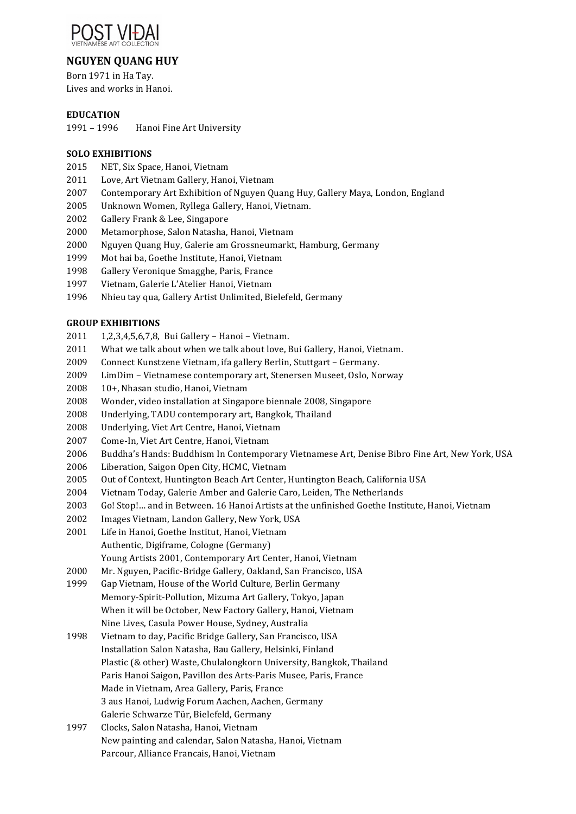

# **NGUYEN OUANG HUY**

Born 1971 in Ha Tay. Lives and works in Hanoi.

## **EDUCATION**

1991 - 1996 Hanoi Fine Art University

## **SOLO EXHIBITIONS**

- 2015 NET, Six Space, Hanoi, Vietnam
- 2011 Love, Art Vietnam Gallery, Hanoi, Vietnam
- 2007 Contemporary Art Exhibition of Nguyen Quang Huy, Gallery Maya, London, England
- 2005 Unknown Women, Ryllega Gallery, Hanoi, Vietnam.
- 2002 Gallery Frank & Lee, Singapore
- 2000 Metamorphose, Salon Natasha, Hanoi, Vietnam
- 2000 Nguyen Quang Huy, Galerie am Grossneumarkt, Hamburg, Germany
- 1999 Mot hai ba, Goethe Institute, Hanoi, Vietnam
- 1998 Gallery Veronique Smagghe, Paris, France
- 1997 Vietnam, Galerie L'Atelier Hanoi, Vietnam
- 1996 Nhieu tay qua, Gallery Artist Unlimited, Bielefeld, Germany

#### **GROUP EXHIBITIONS**

- 2011 1,2,3,4,5,6,7,8, Bui Gallery Hanoi Vietnam.
- 2011 What we talk about when we talk about love, Bui Gallery, Hanoi, Vietnam.
- 2009 Connect Kunstzene Vietnam, ifa gallery Berlin, Stuttgart Germany.
- 2009 LimDim Vietnamese contemporary art, Stenersen Museet, Oslo, Norway
- 2008 10+, Nhasan studio, Hanoi, Vietnam
- 2008 Wonder, video installation at Singapore biennale 2008, Singapore
- 2008 Underlying, TADU contemporary art, Bangkok, Thailand
- 2008 Underlying, Viet Art Centre, Hanoi, Vietnam
- 2007 Come-In, Viet Art Centre, Hanoi, Vietnam
- 2006 Buddha's Hands: Buddhism In Contemporary Vietnamese Art, Denise Bibro Fine Art, New York, USA
- 2006 Liberation, Saigon Open City, HCMC, Vietnam
- 2005 Out of Context, Huntington Beach Art Center, Huntington Beach, California USA
- 2004 Vietnam Today, Galerie Amber and Galerie Caro, Leiden, The Netherlands
- 2003 Go! Stop!... and in Between. 16 Hanoi Artists at the unfinished Goethe Institute, Hanoi, Vietnam
- 2002 Images Vietnam, Landon Gallery, New York, USA
- 2001 Life in Hanoi, Goethe Institut, Hanoi, Vietnam Authentic, Digiframe, Cologne (Germany) Young Artists 2001, Contemporary Art Center, Hanoi, Vietnam
- 2000 Mr. Nguyen, Pacific-Bridge Gallery, Oakland, San Francisco, USA
- 1999 Gap Vietnam, House of the World Culture, Berlin Germany Memory-Spirit-Pollution, Mizuma Art Gallery, Tokyo, Japan When it will be October, New Factory Gallery, Hanoi, Vietnam
- Nine Lives, Casula Power House, Sydney, Australia
- 1998 Vietnam to day, Pacific Bridge Gallery, San Francisco, USA Installation Salon Natasha, Bau Gallery, Helsinki, Finland Plastic (& other) Waste, Chulalongkorn University, Bangkok, Thailand Paris Hanoi Saigon, Pavillon des Arts-Paris Musee, Paris, France Made in Vietnam, Area Gallery, Paris, France 3 aus Hanoi, Ludwig Forum Aachen, Aachen, Germany Galerie Schwarze Tür, Bielefeld, Germany
- 1997 Clocks, Salon Natasha, Hanoi, Vietnam New painting and calendar, Salon Natasha, Hanoi, Vietnam Parcour, Alliance Francais, Hanoi, Vietnam